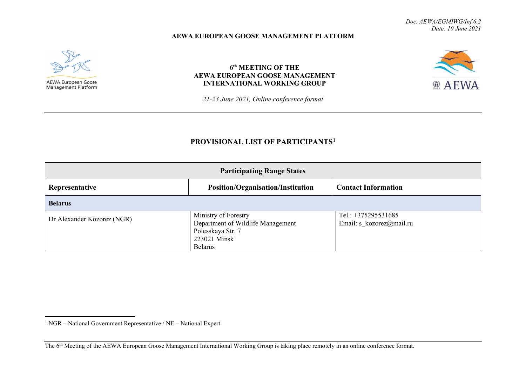## **AEWA EUROPEAN GOOSE MANAGEMENT PLATFORM**



**AEWA European Goose Management Platform** 

## **6th MEETING OF THE AEWA EUROPEAN GOOSE MANAGEMENT INTERNATIONAL WORKING GROUP**

<span id="page-0-0"></span>

*21-23 June 2021, Online conference format*

## **PROVISIONAL LIST OF PARTICIPANTS[1](#page-0-0)**

| <b>Participating Range States</b> |                                                                                                           |                                                   |
|-----------------------------------|-----------------------------------------------------------------------------------------------------------|---------------------------------------------------|
| Representative                    | <b>Position/Organisation/Institution</b>                                                                  | <b>Contact Information</b>                        |
| <b>Belarus</b>                    |                                                                                                           |                                                   |
| Dr Alexander Kozorez (NGR)        | Ministry of Forestry<br>Department of Wildlife Management<br>Polesskaya Str. 7<br>223021 Minsk<br>Belarus | Tel.: $+375295531685$<br>Email: s kozorez@mail.ru |

<sup>1</sup> NGR – National Government Representative / NE – National Expert

The 6<sup>th</sup> Meeting of the AEWA European Goose Management International Working Group is taking place remotely in an online conference format.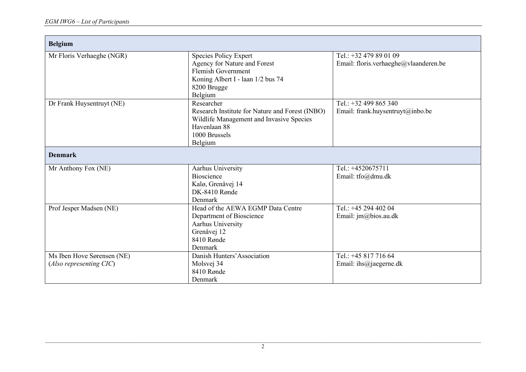| <b>Belgium</b>             |                                                 |                                       |
|----------------------------|-------------------------------------------------|---------------------------------------|
| Mr Floris Verhaeghe (NGR)  | <b>Species Policy Expert</b>                    | Tel.: +32 479 89 01 09                |
|                            | Agency for Nature and Forest                    | Email: floris.verhaeghe@vlaanderen.be |
|                            | <b>Flemish Government</b>                       |                                       |
|                            | Koning Albert I - laan 1/2 bus 74               |                                       |
|                            | 8200 Brugge                                     |                                       |
|                            | Belgium                                         |                                       |
| Dr Frank Huysentruyt (NE)  | Researcher                                      | Tel.: $+32499865340$                  |
|                            | Research Institute for Nature and Forest (INBO) | Email: frank.huysentruyt@inbo.be      |
|                            | Wildlife Management and Invasive Species        |                                       |
|                            | Havenlaan 88                                    |                                       |
|                            | 1000 Brussels                                   |                                       |
|                            | Belgium                                         |                                       |
| <b>Denmark</b>             |                                                 |                                       |
| Mr Anthony Fox (NE)        | Aarhus University                               | Tel.: +4520675711                     |
|                            | Bioscience                                      | Email: tfo@dmu.dk                     |
|                            | Kalø, Grenåvej 14                               |                                       |
|                            | DK-8410 Rønde                                   |                                       |
|                            | Denmark                                         |                                       |
| Prof Jesper Madsen (NE)    | Head of the AEWA EGMP Data Centre               | Tel.: +45 294 402 04                  |
|                            | Department of Bioscience                        | Email: jm@bios.au.dk                  |
|                            | Aarhus University                               |                                       |
|                            | Grenåvej 12                                     |                                       |
|                            | 8410 Rønde                                      |                                       |
|                            | Denmark                                         |                                       |
| Ms Iben Hove Sørensen (NE) | Danish Hunters' Association                     | Tel.: +45 817 716 64                  |
| (Also representing CIC)    | Molsvej 34                                      | Email: ihs $@$ jaegerne.dk            |
|                            | 8410 Rønde                                      |                                       |
|                            | Denmark                                         |                                       |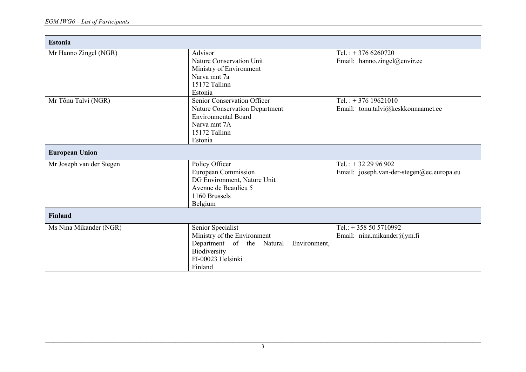| <b>Estonia</b>           |                                           |                                           |
|--------------------------|-------------------------------------------|-------------------------------------------|
|                          |                                           |                                           |
| Mr Hanno Zingel (NGR)    | Advisor                                   | Tel.: $+3766260720$                       |
|                          | Nature Conservation Unit                  | Email: hanno.zingel@envir.ee              |
|                          | Ministry of Environment                   |                                           |
|                          | Narva mnt 7a                              |                                           |
|                          | 15172 Tallinn                             |                                           |
|                          | Estonia                                   |                                           |
| Mr Tõnu Talvi (NGR)      | Senior Conservation Officer               | Tel.: $+376$ 19621010                     |
|                          | Nature Conservation Department            | Email: tonu.talvi@keskkonnaamet.ee        |
|                          | <b>Environmental Board</b>                |                                           |
|                          | Narva mnt 7A                              |                                           |
|                          | 15172 Tallinn                             |                                           |
|                          | Estonia                                   |                                           |
|                          |                                           |                                           |
| <b>European Union</b>    |                                           |                                           |
| Mr Joseph van der Stegen | Policy Officer                            | Tel.: $+322996902$                        |
|                          | European Commission                       | Email: joseph.van-der-stegen@ec.europa.eu |
|                          | DG Environment, Nature Unit               |                                           |
|                          | Avenue de Beaulieu 5                      |                                           |
|                          | 1160 Brussels                             |                                           |
|                          | Belgium                                   |                                           |
|                          |                                           |                                           |
| Finland                  |                                           |                                           |
| Ms Nina Mikander (NGR)   | Senior Specialist                         | Tel.: $+358505710992$                     |
|                          | Ministry of the Environment               | Email: nina.mikander@ym.fi                |
|                          | Department of the Natural<br>Environment, |                                           |
|                          | Biodiversity                              |                                           |
|                          | FI-00023 Helsinki                         |                                           |
|                          | Finland                                   |                                           |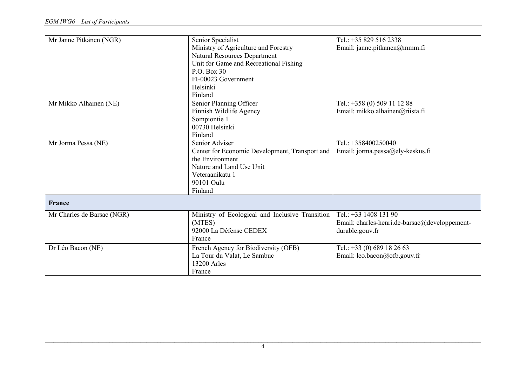| Mr Janne Pitkänen (NGR)    | Senior Specialist                               | Tel.: +35 829 516 2338                        |
|----------------------------|-------------------------------------------------|-----------------------------------------------|
|                            | Ministry of Agriculture and Forestry            | Email: janne.pitkanen@mmm.fi                  |
|                            | Natural Resources Department                    |                                               |
|                            | Unit for Game and Recreational Fishing          |                                               |
|                            | P.O. Box 30                                     |                                               |
|                            | FI-00023 Government                             |                                               |
|                            | Helsinki                                        |                                               |
|                            | Finland                                         |                                               |
| Mr Mikko Alhainen (NE)     | Senior Planning Officer                         | Tel.: $+358(0) 509111288$                     |
|                            | Finnish Wildlife Agency                         | Email: mikko.alhainen@riista.fi               |
|                            | Sompiontie 1                                    |                                               |
|                            | 00730 Helsinki                                  |                                               |
|                            | Finland                                         |                                               |
| Mr Jorma Pessa (NE)        | Senior Adviser                                  | Tel.: +358400250040                           |
|                            | Center for Economic Development, Transport and  | Email: jorma.pessa@ely-keskus.fi              |
|                            | the Environment                                 |                                               |
|                            | Nature and Land Use Unit                        |                                               |
|                            | Veteraanikatu 1                                 |                                               |
|                            | 90101 Oulu                                      |                                               |
|                            | Finland                                         |                                               |
| France                     |                                                 |                                               |
|                            |                                                 |                                               |
| Mr Charles de Barsac (NGR) | Ministry of Ecological and Inclusive Transition | Tel.: $+33$ 1408 131 90                       |
|                            | (MTES)                                          | Email: charles-henri.de-barsac@developpement- |
|                            | 92000 La Défense CEDEX                          | durable.gouv.fr                               |
|                            | France                                          |                                               |
| Dr Léo Bacon (NE)          | French Agency for Biodiversity (OFB)            | Tel.: $+33(0)689182663$                       |
|                            | La Tour du Valat, Le Sambuc                     | Email: leo.bacon@ofb.gouv.fr                  |
|                            | 13200 Arles                                     |                                               |
|                            | France                                          |                                               |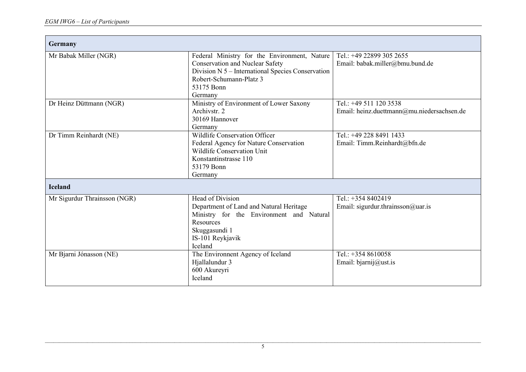| Germany                      |                                                                                                                                                                                                 |                                                                      |
|------------------------------|-------------------------------------------------------------------------------------------------------------------------------------------------------------------------------------------------|----------------------------------------------------------------------|
| Mr Babak Miller (NGR)        | Federal Ministry for the Environment, Nature<br><b>Conservation and Nuclear Safety</b><br>Division N 5 - International Species Conservation<br>Robert-Schumann-Platz 3<br>53175 Bonn<br>Germany | Tel.: +49 22899 305 2655<br>Email: babak.miller@bmu.bund.de          |
| Dr Heinz Düttmann (NGR)      | Ministry of Environment of Lower Saxony<br>Archivstr. 2<br>30169 Hannover<br>Germany                                                                                                            | Tel.: +49 511 120 3538<br>Email: heinz.duettmann@mu.niedersachsen.de |
| Dr Timm Reinhardt (NE)       | Wildlife Conservation Officer<br>Federal Agency for Nature Conservation<br><b>Wildlife Conservation Unit</b><br>Konstantinstrasse 110<br>53179 Bonn<br>Germany                                  | Tel.: +49 228 8491 1433<br>Email: Timm.Reinhardt@bfn.de              |
| <b>Iceland</b>               |                                                                                                                                                                                                 |                                                                      |
| Mr Sigurdur Thrainsson (NGR) | Head of Division<br>Department of Land and Natural Heritage<br>Ministry for the Environment and Natural<br>Resources<br>Skuggasundi 1<br>IS-101 Reykjavik<br>Iceland                            | Tel.: +354 8402419<br>Email: sigurdur.thrainsson@uar.is              |
| Mr Bjarni Jónasson (NE)      | The Environnent Agency of Iceland<br>Hjallalundur 3<br>600 Akureyri<br>Iceland                                                                                                                  | Tel.: +354 8610058<br>Email: bjarnij@ust.is                          |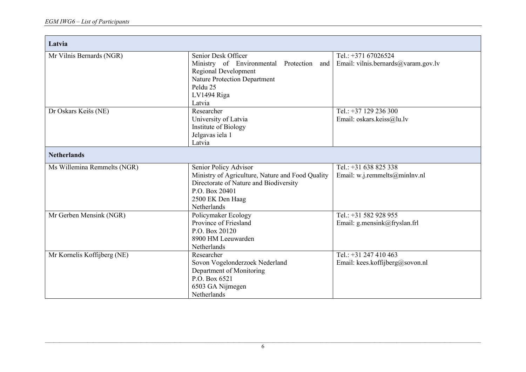| Latvia                      |                                                                  |                                                             |
|-----------------------------|------------------------------------------------------------------|-------------------------------------------------------------|
| Mr Vilnis Bernards (NGR)    | Senior Desk Officer<br>Ministry of Environmental Protection and  | Tel.: $+37167026524$<br>Email: vilnis.bernards@varam.gov.lv |
|                             | Regional Development<br>Nature Protection Department<br>Peldu 25 |                                                             |
|                             | LV1494 Riga<br>Latvia                                            |                                                             |
| Dr Oskars Keišs (NE)        | Researcher<br>University of Latvia                               | Tel.: $+37$ 129 236 300<br>Email: oskars.keiss@lu.lv        |
|                             | Institute of Biology<br>Jelgavas iela 1                          |                                                             |
| <b>Netherlands</b>          | Latvia                                                           |                                                             |
| Ms Willemina Remmelts (NGR) | Senior Policy Advisor                                            | Tel.: $+31638825338$                                        |
|                             | Ministry of Agriculture, Nature and Food Quality                 | Email: w.j.remmelts@minlnv.nl                               |
|                             | Directorate of Nature and Biodiversity                           |                                                             |
|                             | P.O. Box 20401                                                   |                                                             |
|                             | 2500 EK Den Haag                                                 |                                                             |
|                             | Netherlands                                                      |                                                             |
| Mr Gerben Mensink (NGR)     | Policymaker Ecology                                              | Tel.: +31 582 928 955                                       |
|                             | Province of Friesland                                            | Email: g.mensink@fryslan.frl                                |
|                             | P.O. Box 20120                                                   |                                                             |
|                             | 8900 HM Leeuwarden                                               |                                                             |
|                             | Netherlands                                                      |                                                             |
| Mr Kornelis Koffijberg (NE) | Researcher                                                       | Tel.: $+31$ 247 410 463                                     |
|                             | Sovon Vogelonderzoek Nederland                                   | Email: kees.koffijberg@sovon.nl                             |
|                             | Department of Monitoring                                         |                                                             |
|                             | P.O. Box 6521                                                    |                                                             |
|                             | 6503 GA Nijmegen                                                 |                                                             |
|                             | Netherlands                                                      |                                                             |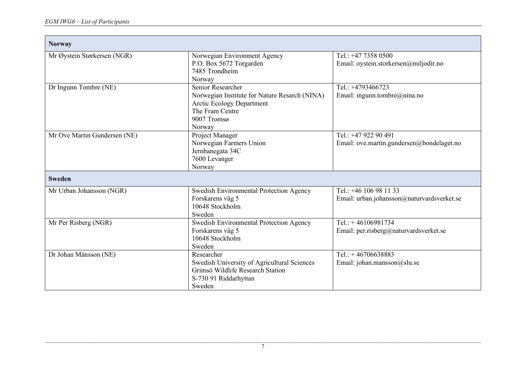| <b>Norway</b>                |                                                                                                                                                    |                                                                      |
|------------------------------|----------------------------------------------------------------------------------------------------------------------------------------------------|----------------------------------------------------------------------|
| Mr Øystein Størkersen (NGR)  | Norwegian Environment Agency<br>P.O. Box 5672 Torgarden<br>7485 Trondheim<br>Norway                                                                | Tel.: +47 7358 0500<br>Email: oystein.storkersen@miljodir.no         |
| Dr Ingunn Tombre (NE)        | Senior Researcher<br>Norwegian Institute for Nature Resarch (NINA)<br><b>Arctic Ecology Department</b><br>The Fram Centre<br>9007 Tromsø<br>Norway | Tel.: +4793466723<br>Email: ingunn.tombre@nina.no                    |
| Mr Ove Martin Gundersen (NE) | Project Manager<br>Norwegian Farmers Union<br>Jernbanegata 34C<br>7600 Levanger<br>Norway                                                          | Tel.: +47 922 90 491<br>Email: ove.martin.gundersen@bondelaget.no    |
| <b>Sweden</b>                |                                                                                                                                                    |                                                                      |
| Mr Urban Johansson (NGR)     | Swedish Environmental Protection Agency<br>Forskarens väg 5<br>10648 Stockholm<br>Sweden                                                           | Tel.: +46 106 98 11 33<br>Email: urban.johansson@naturvardsverket.se |
| Mr Per Risberg (NGR)         | Swedish Environmental Protection Agency<br>Forskarens väg 5<br>10648 Stockholm<br>Sweden                                                           | Tel.: $+46106981734$<br>Email: per.risberg@naturvardsverket.se       |
| Dr Johan Månsson (NE)        | Researcher<br>Swedish University of Agricultural Sciences<br>Grimsö Wildlife Research Station<br>S-730 91 Riddarhyttan<br>Sweden                   | Tel.: $+46706638883$<br>Email: johan.mansson@slu.se                  |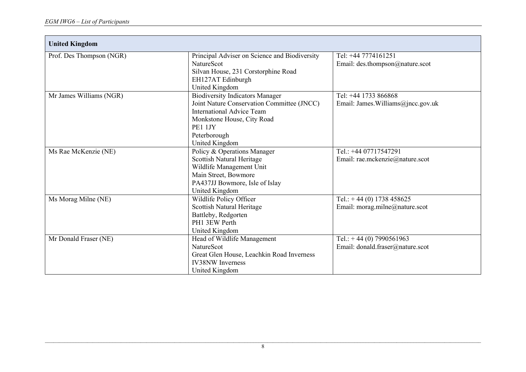| <b>United Kingdom</b>    |                                               |                                    |
|--------------------------|-----------------------------------------------|------------------------------------|
| Prof. Des Thompson (NGR) | Principal Adviser on Science and Biodiversity | Tel: +44 7774161251                |
|                          | <b>NatureScot</b>                             | Email: des.thompson@nature.scot    |
|                          | Silvan House, 231 Corstorphine Road           |                                    |
|                          | EH127AT Edinburgh                             |                                    |
|                          | United Kingdom                                |                                    |
| Mr James Williams (NGR)  | <b>Biodiversity Indicators Manager</b>        | Tel: +44 1733 866868               |
|                          | Joint Nature Conservation Committee (JNCC)    | Email: James. Williams@jncc.gov.uk |
|                          | International Advice Team                     |                                    |
|                          | Monkstone House, City Road                    |                                    |
|                          | PE1 1JY                                       |                                    |
|                          | Peterborough                                  |                                    |
|                          | United Kingdom                                |                                    |
| Ms Rae McKenzie (NE)     | Policy & Operations Manager                   | Tel.: +44 07717547291              |
|                          | Scottish Natural Heritage                     | Email: rae.mckenzie@nature.scot    |
|                          | Wildlife Management Unit                      |                                    |
|                          | Main Street, Bowmore                          |                                    |
|                          | PA437JJ Bowmore, Isle of Islay                |                                    |
|                          | United Kingdom                                |                                    |
| Ms Morag Milne (NE)      | Wildlife Policy Officer                       | Tel.: $+44(0)$ 1738 458625         |
|                          | Scottish Natural Heritage                     | Email: morag.milne@nature.scot     |
|                          | Battleby, Redgorten                           |                                    |
|                          | PH1 3EW Perth                                 |                                    |
|                          | United Kingdom                                |                                    |
| Mr Donald Fraser (NE)    | Head of Wildlife Management                   | Tel.: $+44(0)$ 7990561963          |
|                          | <b>NatureScot</b>                             | Email: donald.fraser@nature.scot   |
|                          | Great Glen House, Leachkin Road Inverness     |                                    |
|                          | <b>IV38NW</b> Inverness                       |                                    |
|                          | United Kingdom                                |                                    |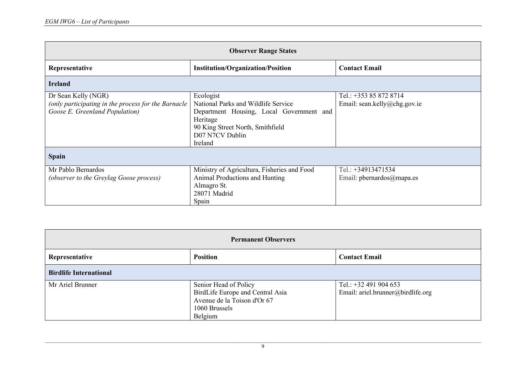| <b>Observer Range States</b>                                                                                 |                                                                                                                                                                            |                                                        |
|--------------------------------------------------------------------------------------------------------------|----------------------------------------------------------------------------------------------------------------------------------------------------------------------------|--------------------------------------------------------|
| Representative                                                                                               | <b>Institution/Organization/Position</b>                                                                                                                                   | <b>Contact Email</b>                                   |
| <b>Ireland</b>                                                                                               |                                                                                                                                                                            |                                                        |
| Dr Sean Kelly (NGR)<br>(only participating in the process for the Barnacle<br>Goose E. Greenland Population) | Ecologist<br>National Parks and Wildlife Service<br>Department Housing, Local Government and<br>Heritage<br>90 King Street North, Smithfield<br>D07 N7CV Dublin<br>Ireland | Tel.: +353 85 872 8714<br>Email: sean.kelly@chg.gov.ie |
| Spain                                                                                                        |                                                                                                                                                                            |                                                        |
| Mr Pablo Bernardos<br>(observer to the Greylag Goose process)                                                | Ministry of Agricultura, Fisheries and Food<br>Animal Productions and Hunting<br>Almagro St.<br>28071 Madrid<br>Spain                                                      | Tel.: $+34913471534$<br>Email: pbernardos@mapa.es      |

| <b>Permanent Observers</b>    |                                                                                                                      |                                                              |
|-------------------------------|----------------------------------------------------------------------------------------------------------------------|--------------------------------------------------------------|
| Representative                | <b>Position</b>                                                                                                      | <b>Contact Email</b>                                         |
| <b>Birdlife International</b> |                                                                                                                      |                                                              |
| Mr Ariel Brunner              | Senior Head of Policy<br>BirdLife Europe and Central Asia<br>Avenue de la Toison d'Or 67<br>1060 Brussels<br>Belgium | Tel.: $+32$ 491 904 653<br>Email: ariel.brunner@birdlife.org |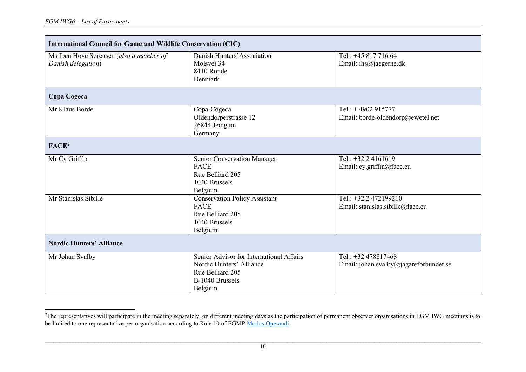<span id="page-9-0"></span>

| <b>International Council for Game and Wildlife Conservation (CIC)</b> |                                                                                                                        |                                                                |
|-----------------------------------------------------------------------|------------------------------------------------------------------------------------------------------------------------|----------------------------------------------------------------|
| Ms Iben Hove Sørensen (also a member of<br>Danish delegation)         | Danish Hunters' Association<br>Molsvej 34<br>8410 Rønde<br>Denmark                                                     | Tel.: +45 817 716 64<br>Email: ihs $@$ jaegerne.dk             |
| Copa Cogeca                                                           |                                                                                                                        |                                                                |
| Mr Klaus Borde                                                        | Copa-Cogeca<br>Oldendorperstrasse 12<br>26844 Jemgum<br>Germany                                                        | Tel.: $+4902915777$<br>Email: borde-oldendorp@ewetel.net       |
| FACE <sup>2</sup>                                                     |                                                                                                                        |                                                                |
| Mr Cy Griffin                                                         | Senior Conservation Manager<br><b>FACE</b><br>Rue Belliard 205<br>1040 Brussels<br>Belgium                             | Tel.: +32 2 4161619<br>Email: cy.griffin@face.eu               |
| Mr Stanislas Sibille                                                  | <b>Conservation Policy Assistant</b><br><b>FACE</b><br>Rue Belliard 205<br>1040 Brussels<br>Belgium                    | Tel.: +32 2 472199210<br>Email: stanislas.sibille@face.eu      |
| <b>Nordic Hunters' Alliance</b>                                       |                                                                                                                        |                                                                |
| Mr Johan Svalby                                                       | Senior Advisor for International Affairs<br>Nordic Hunters' Alliance<br>Rue Belliard 205<br>B-1040 Brussels<br>Belgium | Tel.: $+32478817468$<br>Email: johan.svalby@jagareforbundet.se |

<sup>&</sup>lt;sup>2</sup>The representatives will participate in the meeting separately, on different meeting days as the participation of permanent observer organisations in EGM IWG meetings is to be limited to one representative per organisation according to Rule 10 of EGMP [Modus Operandi.](https://egmp.aewa.info/sites/default/files/meeting_files/information_documents/aewa_egm_iwg_inf_6_4_modus_operandi.pdf)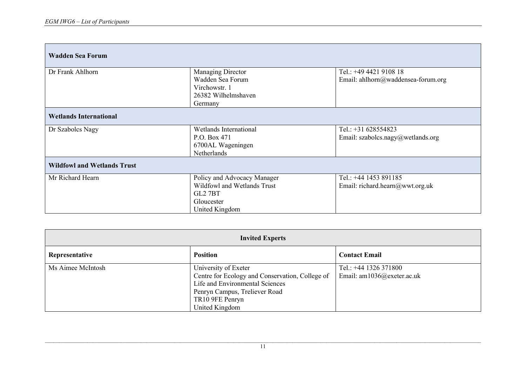| <b>Wadden Sea Forum</b>            |                             |                                    |  |
|------------------------------------|-----------------------------|------------------------------------|--|
| Dr Frank Ahlhorn                   | Managing Director           | Tel.: +49 4421 9108 18             |  |
|                                    | Wadden Sea Forum            | Email: ahlhorn@waddensea-forum.org |  |
|                                    | Virchowstr. 1               |                                    |  |
|                                    | 26382 Wilhelmshaven         |                                    |  |
|                                    | Germany                     |                                    |  |
| <b>Wetlands International</b>      |                             |                                    |  |
| Dr Szabolcs Nagy                   | Wetlands International      | Tel.: $+31628554823$               |  |
|                                    | P.O. Box 471                | Email: szabolcs.nagy@wetlands.org  |  |
|                                    | 6700AL Wageningen           |                                    |  |
|                                    | Netherlands                 |                                    |  |
| <b>Wildfowl and Wetlands Trust</b> |                             |                                    |  |
| Mr Richard Hearn                   | Policy and Advocacy Manager | Tel.: +44 1453 891185              |  |
|                                    | Wildfowl and Wetlands Trust | Email: richard.hearn@wwt.org.uk    |  |
|                                    | GL2 7BT                     |                                    |  |
|                                    | Gloucester                  |                                    |  |
|                                    | United Kingdom              |                                    |  |

| <b>Invited Experts</b> |                                                                                                                                                                |                                                     |  |
|------------------------|----------------------------------------------------------------------------------------------------------------------------------------------------------------|-----------------------------------------------------|--|
| Representative         | <b>Position</b>                                                                                                                                                | <b>Contact Email</b>                                |  |
| Ms Aimee McIntosh      | University of Exeter<br>Centre for Ecology and Conservation, College of<br>Life and Environmental Sciences<br>Penryn Campus, Treliever Road<br>TR10 9FE Penryn | Tel.: +44 1326 371800<br>Email: am1036@exeter.ac.uk |  |
|                        | United Kingdom                                                                                                                                                 |                                                     |  |

11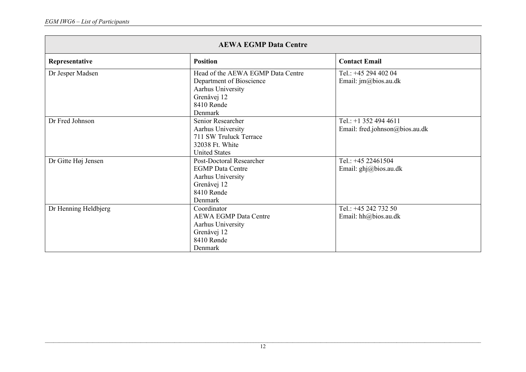| <b>AEWA EGMP Data Centre</b> |                                   |                                |  |
|------------------------------|-----------------------------------|--------------------------------|--|
| Representative               | <b>Position</b>                   | <b>Contact Email</b>           |  |
| Dr Jesper Madsen             | Head of the AEWA EGMP Data Centre | Tel.: +45 294 402 04           |  |
|                              | Department of Bioscience          | Email: jm@bios.au.dk           |  |
|                              | Aarhus University                 |                                |  |
|                              | Grenåvej 12                       |                                |  |
|                              | 8410 Rønde                        |                                |  |
|                              | Denmark                           |                                |  |
| Dr Fred Johnson              | Senior Researcher                 | Tel.: $+1$ 352 494 4611        |  |
|                              | Aarhus University                 | Email: fred.johnson@bios.au.dk |  |
|                              | 711 SW Truluck Terrace            |                                |  |
|                              | 32038 Ft. White                   |                                |  |
|                              | <b>United States</b>              |                                |  |
| Dr Gitte Høj Jensen          | Post-Doctoral Researcher          | Tel.: +45 22461504             |  |
|                              | <b>EGMP</b> Data Centre           | Email: ghj@bios.au.dk          |  |
|                              | Aarhus University                 |                                |  |
|                              | Grenåvej 12                       |                                |  |
|                              | 8410 Rønde                        |                                |  |
|                              | Denmark                           |                                |  |
| Dr Henning Heldbjerg         | Coordinator                       | Tel.: +45 242 732 50           |  |
|                              | <b>AEWA EGMP Data Centre</b>      | Email: hh@bios.au.dk           |  |
|                              | Aarhus University                 |                                |  |
|                              | Grenåvej 12                       |                                |  |
|                              | 8410 Rønde                        |                                |  |
|                              | Denmark                           |                                |  |